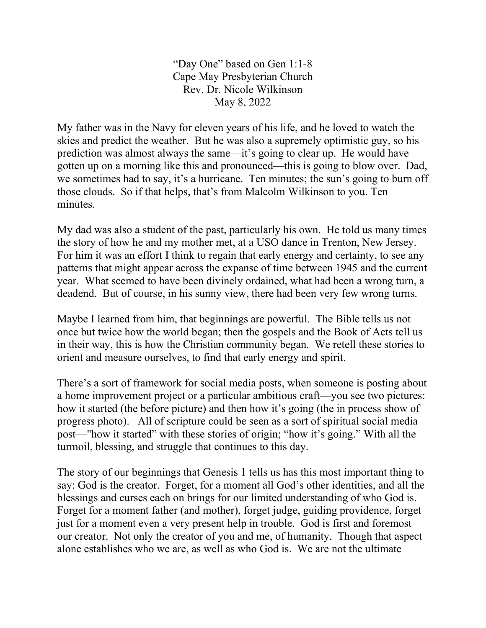"Day One" based on Gen 1:1-8 Cape May Presbyterian Church Rev. Dr. Nicole Wilkinson May 8, 2022

My father was in the Navy for eleven years of his life, and he loved to watch the skies and predict the weather. But he was also a supremely optimistic guy, so his prediction was almost always the same—it's going to clear up. He would have gotten up on a morning like this and pronounced—this is going to blow over. Dad, we sometimes had to say, it's a hurricane. Ten minutes; the sun's going to burn off those clouds. So if that helps, that's from Malcolm Wilkinson to you. Ten minutes.

My dad was also a student of the past, particularly his own. He told us many times the story of how he and my mother met, at a USO dance in Trenton, New Jersey. For him it was an effort I think to regain that early energy and certainty, to see any patterns that might appear across the expanse of time between 1945 and the current year. What seemed to have been divinely ordained, what had been a wrong turn, a deadend. But of course, in his sunny view, there had been very few wrong turns.

Maybe I learned from him, that beginnings are powerful. The Bible tells us not once but twice how the world began; then the gospels and the Book of Acts tell us in their way, this is how the Christian community began. We retell these stories to orient and measure ourselves, to find that early energy and spirit.

There's a sort of framework for social media posts, when someone is posting about a home improvement project or a particular ambitious craft—you see two pictures: how it started (the before picture) and then how it's going (the in process show of progress photo). All of scripture could be seen as a sort of spiritual social media post—"how it started" with these stories of origin; "how it's going." With all the turmoil, blessing, and struggle that continues to this day.

The story of our beginnings that Genesis 1 tells us has this most important thing to say: God is the creator. Forget, for a moment all God's other identities, and all the blessings and curses each on brings for our limited understanding of who God is. Forget for a moment father (and mother), forget judge, guiding providence, forget just for a moment even a very present help in trouble. God is first and foremost our creator. Not only the creator of you and me, of humanity. Though that aspect alone establishes who we are, as well as who God is. We are not the ultimate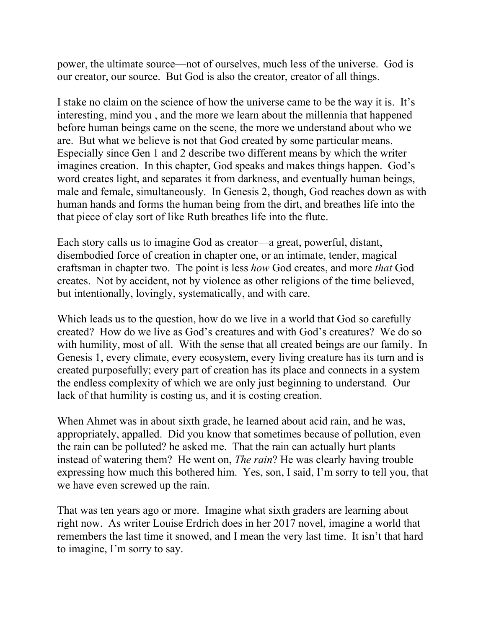power, the ultimate source—not of ourselves, much less of the universe. God is our creator, our source. But God is also the creator, creator of all things.

I stake no claim on the science of how the universe came to be the way it is. It's interesting, mind you , and the more we learn about the millennia that happened before human beings came on the scene, the more we understand about who we are. But what we believe is not that God created by some particular means. Especially since Gen 1 and 2 describe two different means by which the writer imagines creation. In this chapter, God speaks and makes things happen. God's word creates light, and separates it from darkness, and eventually human beings, male and female, simultaneously. In Genesis 2, though, God reaches down as with human hands and forms the human being from the dirt, and breathes life into the that piece of clay sort of like Ruth breathes life into the flute.

Each story calls us to imagine God as creator—a great, powerful, distant, disembodied force of creation in chapter one, or an intimate, tender, magical craftsman in chapter two. The point is less *how* God creates, and more *that* God creates. Not by accident, not by violence as other religions of the time believed, but intentionally, lovingly, systematically, and with care.

Which leads us to the question, how do we live in a world that God so carefully created? How do we live as God's creatures and with God's creatures? We do so with humility, most of all. With the sense that all created beings are our family. In Genesis 1, every climate, every ecosystem, every living creature has its turn and is created purposefully; every part of creation has its place and connects in a system the endless complexity of which we are only just beginning to understand. Our lack of that humility is costing us, and it is costing creation.

When Ahmet was in about sixth grade, he learned about acid rain, and he was, appropriately, appalled. Did you know that sometimes because of pollution, even the rain can be polluted? he asked me. That the rain can actually hurt plants instead of watering them? He went on, *The rain*? He was clearly having trouble expressing how much this bothered him. Yes, son, I said, I'm sorry to tell you, that we have even screwed up the rain.

That was ten years ago or more. Imagine what sixth graders are learning about right now. As writer Louise Erdrich does in her 2017 novel, imagine a world that remembers the last time it snowed, and I mean the very last time. It isn't that hard to imagine, I'm sorry to say.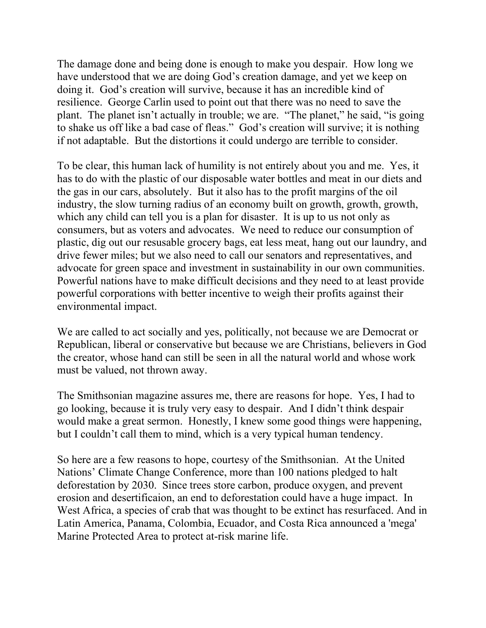The damage done and being done is enough to make you despair. How long we have understood that we are doing God's creation damage, and yet we keep on doing it. God's creation will survive, because it has an incredible kind of resilience. George Carlin used to point out that there was no need to save the plant. The planet isn't actually in trouble; we are. "The planet," he said, "is going to shake us off like a bad case of fleas." God's creation will survive; it is nothing if not adaptable. But the distortions it could undergo are terrible to consider.

To be clear, this human lack of humility is not entirely about you and me. Yes, it has to do with the plastic of our disposable water bottles and meat in our diets and the gas in our cars, absolutely. But it also has to the profit margins of the oil industry, the slow turning radius of an economy built on growth, growth, growth, which any child can tell you is a plan for disaster. It is up to us not only as consumers, but as voters and advocates. We need to reduce our consumption of plastic, dig out our resusable grocery bags, eat less meat, hang out our laundry, and drive fewer miles; but we also need to call our senators and representatives, and advocate for green space and investment in sustainability in our own communities. Powerful nations have to make difficult decisions and they need to at least provide powerful corporations with better incentive to weigh their profits against their environmental impact.

We are called to act socially and yes, politically, not because we are Democrat or Republican, liberal or conservative but because we are Christians, believers in God the creator, whose hand can still be seen in all the natural world and whose work must be valued, not thrown away.

The Smithsonian magazine assures me, there are reasons for hope. Yes, I had to go looking, because it is truly very easy to despair. And I didn't think despair would make a great sermon. Honestly, I knew some good things were happening, but I couldn't call them to mind, which is a very typical human tendency.

So here are a few reasons to hope, courtesy of the Smithsonian. At the United Nations' Climate Change Conference, more than 100 nations pledged to [halt](https://www.nytimes.com/2021/11/02/climate/cop26-deforestation.html)  [deforestation by 2030.](https://www.nytimes.com/2021/11/02/climate/cop26-deforestation.html) Since trees store carbon, produce oxygen, and prevent erosion and desertificaion, an end to deforestation could have a huge impact. In West Africa, a species of crab that was thought to be extinct has resurfaced. And in Latin America, Panama, Colombia, Ecuador, and Costa Rica announced a ['mega'](https://www.oceanographicmagazine.com/news/mega-mpa/)  [Marine Protected Area](https://www.oceanographicmagazine.com/news/mega-mpa/) to protect at-risk marine life.